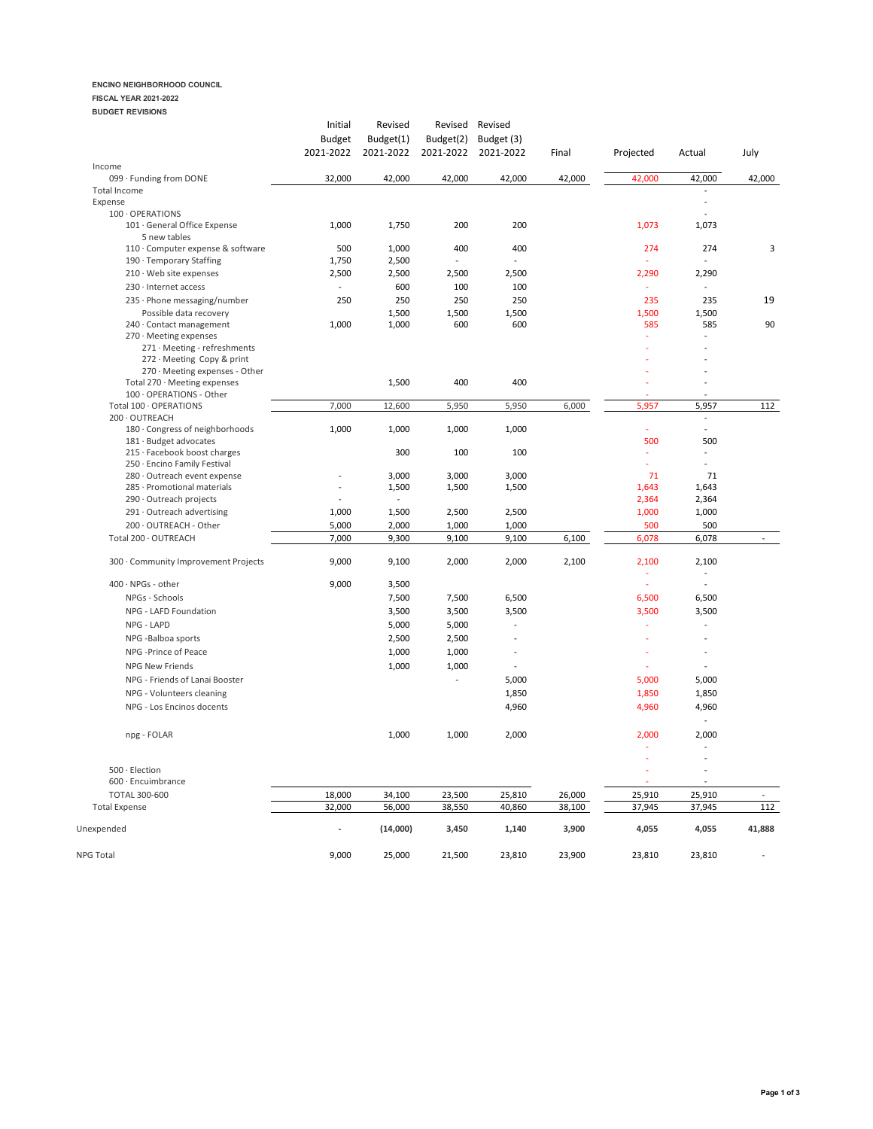# **ENCINO NEIGHBORHOOD COUNCIL**

# **FISCAL YEAR 2021-2022**

| <b>BUDGET REVISIONS</b> |
|-------------------------|
|                         |

|                                                           | Initial<br><b>Budget</b> | Revised<br>Budget(1) | Revised<br>Budget(2)     | Revised<br>Budget (3) |        |              |                                            |                |
|-----------------------------------------------------------|--------------------------|----------------------|--------------------------|-----------------------|--------|--------------|--------------------------------------------|----------------|
|                                                           | 2021-2022                | 2021-2022            | 2021-2022                | 2021-2022             | Final  | Projected    | Actual                                     | July           |
| Income<br>099 · Funding from DONE                         | 32,000                   | 42,000               | 42,000                   | 42,000                | 42,000 | 42,000       | 42,000                                     | 42,000         |
| Total Income                                              |                          |                      |                          |                       |        |              |                                            |                |
| Expense                                                   |                          |                      |                          |                       |        |              | ÷,                                         |                |
| 100 · OPERATIONS                                          |                          |                      |                          |                       |        |              |                                            |                |
| 101 · General Office Expense<br>5 new tables              | 1,000                    | 1,750                | 200                      | 200                   |        | 1,073        | 1,073                                      |                |
| 110 · Computer expense & software                         | 500                      | 1,000                | 400                      | 400                   |        | 274          | 274                                        | 3              |
| 190 · Temporary Staffing                                  | 1,750                    | 2,500                | $\overline{\phantom{a}}$ |                       |        |              | $\overline{\phantom{a}}$                   |                |
| 210 · Web site expenses                                   | 2,500                    | 2,500                | 2,500                    | 2,500                 |        | 2,290        | 2,290                                      |                |
| 230 · Internet access                                     | $\overline{a}$           | 600                  | 100                      | 100                   |        | J.           | $\overline{a}$                             |                |
| 235 · Phone messaging/number                              | 250                      | 250                  | 250                      | 250                   |        | 235          | 235                                        | 19             |
| Possible data recovery<br>240 · Contact management        | 1,000                    | 1,500<br>1,000       | 1,500<br>600             | 1,500<br>600          |        | 1,500<br>585 | 1,500<br>585                               | 90             |
| 270 · Meeting expenses                                    |                          |                      |                          |                       |        |              |                                            |                |
| 271 · Meeting - refreshments                              |                          |                      |                          |                       |        |              |                                            |                |
| 272 · Meeting Copy & print                                |                          |                      |                          |                       |        |              |                                            |                |
| 270 · Meeting expenses - Other                            |                          |                      |                          |                       |        |              |                                            |                |
| Total 270 · Meeting expenses                              |                          | 1,500                | 400                      | 400                   |        |              |                                            |                |
| 100 · OPERATIONS - Other                                  |                          |                      |                          |                       |        |              |                                            |                |
| Total 100 · OPERATIONS                                    | 7,000                    | 12,600               | 5,950                    | 5,950                 | 6,000  | 5,957        | 5,957                                      | 112            |
| 200 OUTREACH                                              |                          |                      |                          |                       |        | ÷            | $\overline{\phantom{a}}$<br>$\overline{a}$ |                |
| 180 · Congress of neighborhoods<br>181 · Budget advocates | 1,000                    | 1,000                | 1,000                    | 1,000                 |        | 500          | 500                                        |                |
| 215 · Facebook boost charges                              |                          | 300                  | 100                      | 100                   |        |              | $\overline{\phantom{a}}$                   |                |
| 250 · Encino Family Festival                              |                          |                      |                          |                       |        |              | $\overline{a}$                             |                |
| 280 · Outreach event expense                              |                          | 3,000                | 3,000                    | 3,000                 |        | 71           | 71                                         |                |
| 285 · Promotional materials                               | $\overline{a}$           | 1,500                | 1,500                    | 1,500                 |        | 1,643        | 1,643                                      |                |
| 290 · Outreach projects                                   |                          | $\frac{1}{2}$        |                          |                       |        | 2,364        | 2,364                                      |                |
| 291 · Outreach advertising                                | 1,000                    | 1,500                | 2,500                    | 2,500                 |        | 1,000        | 1,000                                      |                |
| 200 · OUTREACH - Other                                    | 5,000                    | 2,000                | 1,000                    | 1,000                 |        | 500          | 500                                        |                |
| Total 200 · OUTREACH                                      | 7,000                    | 9,300                | 9,100                    | 9,100                 | 6,100  | 6,078        | 6,078                                      | $\overline{a}$ |
| 300 · Community Improvement Projects                      | 9,000                    | 9,100                | 2,000                    | 2,000                 | 2,100  | 2,100        | 2,100                                      |                |
| 400 · NPGs - other                                        | 9,000                    | 3,500                |                          |                       |        | ÷,           | $\overline{a}$                             |                |
| NPGs - Schools                                            |                          | 7,500                | 7,500                    | 6,500                 |        | 6,500        | 6,500                                      |                |
| NPG - LAFD Foundation                                     |                          | 3,500                | 3,500                    | 3,500                 |        | 3,500        | 3,500                                      |                |
| NPG - LAPD                                                |                          | 5,000                | 5,000                    |                       |        |              | ÷,                                         |                |
| NPG -Balboa sports                                        |                          | 2,500                | 2,500                    |                       |        |              |                                            |                |
| NPG -Prince of Peace                                      |                          |                      |                          |                       |        |              |                                            |                |
|                                                           |                          | 1,000                | 1,000                    |                       |        |              |                                            |                |
| NPG New Friends                                           |                          | 1,000                | 1,000                    | $\overline{a}$        |        |              | ÷,                                         |                |
| NPG - Friends of Lanai Booster                            |                          |                      | $\overline{\phantom{a}}$ | 5,000                 |        | 5,000        | 5,000                                      |                |
| NPG - Volunteers cleaning                                 |                          |                      |                          | 1,850                 |        | 1,850        | 1,850                                      |                |
| NPG - Los Encinos docents                                 |                          |                      |                          | 4,960                 |        | 4,960        | 4,960<br>$\sim$                            |                |
| npg - FOLAR                                               |                          | 1,000                | 1,000                    | 2,000                 |        | 2,000        | 2,000                                      |                |
|                                                           |                          |                      |                          |                       |        |              | ÷,                                         |                |
| 500 · Election                                            |                          |                      |                          |                       |        |              | $\overline{a}$                             |                |
| 600 · Encuimbrance                                        |                          |                      |                          |                       |        |              |                                            |                |
| <b>TOTAL 300-600</b>                                      | 18,000                   | 34,100               | 23,500                   | 25,810                | 26,000 | 25,910       | 25,910                                     |                |
| <b>Total Expense</b>                                      | 32,000                   | 56,000               | 38,550                   | 40,860                | 38,100 | 37,945       | 37,945                                     | 112            |
| Unexpended                                                |                          | (14,000)             | 3,450                    | 1,140                 | 3,900  | 4,055        | 4,055                                      | 41,888         |
| <b>NPG Total</b>                                          | 9,000                    | 25,000               | 21,500                   | 23,810                | 23,900 | 23,810       | 23.810                                     |                |
|                                                           |                          |                      |                          |                       |        |              |                                            |                |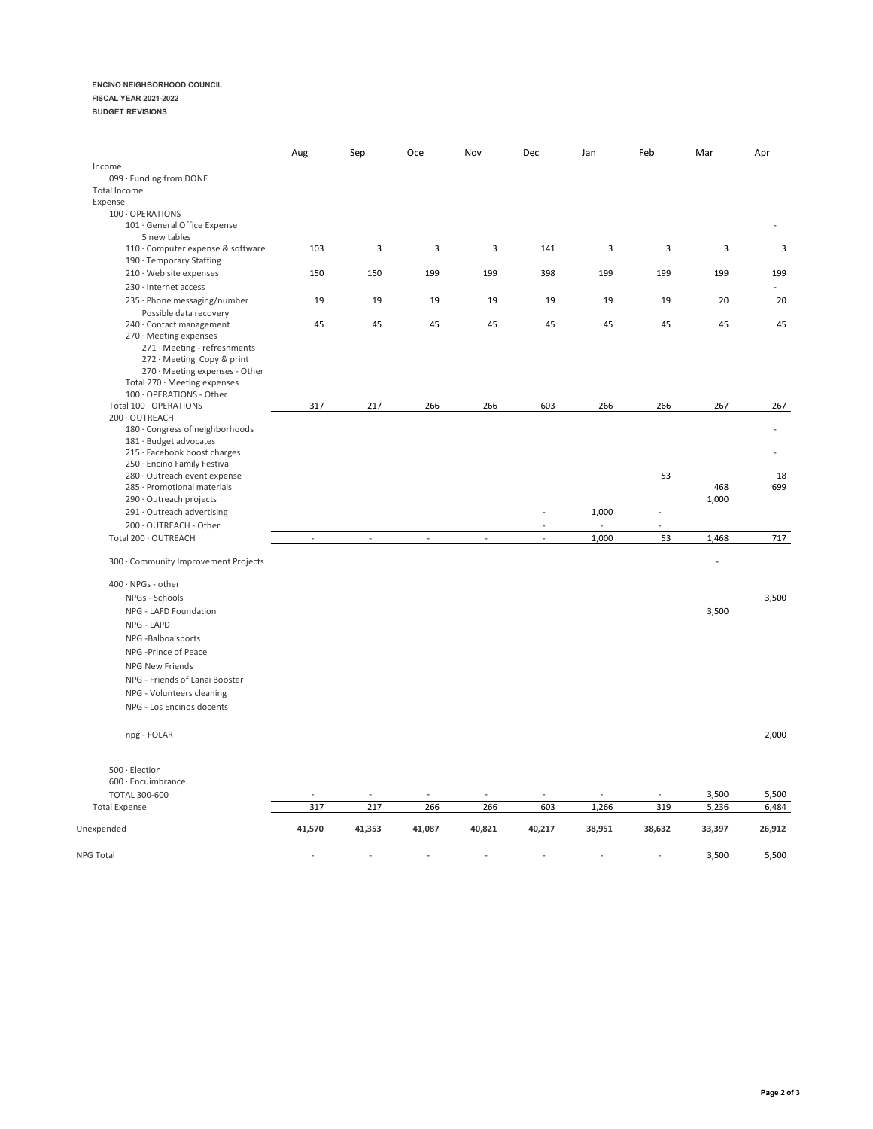### **ENCINO NEIGHBORHOOD COUNCIL**

### **FISCAL YEAR 2021-2022**

**BUDGET REVISIONS**

|                                                                                                                                                                                    | Aug    | Sep            | Oce    | Nov                      | Dec            | Jan            | Feb                     | Mar            | Apr       |
|------------------------------------------------------------------------------------------------------------------------------------------------------------------------------------|--------|----------------|--------|--------------------------|----------------|----------------|-------------------------|----------------|-----------|
| Income                                                                                                                                                                             |        |                |        |                          |                |                |                         |                |           |
| 099 · Funding from DONE                                                                                                                                                            |        |                |        |                          |                |                |                         |                |           |
| Total Income                                                                                                                                                                       |        |                |        |                          |                |                |                         |                |           |
| Expense<br>100 OPERATIONS                                                                                                                                                          |        |                |        |                          |                |                |                         |                |           |
| 101 · General Office Expense<br>5 new tables                                                                                                                                       |        |                |        |                          |                |                |                         |                |           |
| 110 · Computer expense & software<br>190 · Temporary Staffing                                                                                                                      | 103    | 3              | 3      | $\mathbf{3}$             | 141            | 3              | $\overline{\mathbf{3}}$ | 3              | 3         |
| 210 · Web site expenses                                                                                                                                                            | 150    | 150            | 199    | 199                      | 398            | 199            | 199                     | 199            | 199       |
| 230 · Internet access<br>235 · Phone messaging/number                                                                                                                              | 19     | 19             | 19     | 19                       | 19             | 19             | 19                      | 20             | 20        |
| Possible data recovery                                                                                                                                                             |        |                |        |                          |                |                |                         |                |           |
| 240 · Contact management<br>270 · Meeting expenses<br>271 · Meeting - refreshments<br>272 · Meeting Copy & print<br>270 · Meeting expenses - Other<br>Total 270 · Meeting expenses | 45     | 45             | 45     | 45                       | 45             | 45             | 45                      | 45             | 45        |
| 100 · OPERATIONS - Other                                                                                                                                                           |        |                |        |                          |                |                |                         |                |           |
| Total 100 · OPERATIONS<br>200 OUTREACH                                                                                                                                             | 317    | 217            | 266    | 266                      | 603            | 266            | 266                     | 267            | 267       |
| 180 · Congress of neighborhoods<br>181 · Budget advocates<br>215 · Facebook boost charges<br>250 · Encino Family Festival                                                          |        |                |        |                          |                |                |                         |                |           |
| 280 · Outreach event expense<br>285 · Promotional materials<br>290 · Outreach projects                                                                                             |        |                |        |                          |                |                | 53                      | 468<br>1,000   | 18<br>699 |
| 291 · Outreach advertising                                                                                                                                                         |        |                |        |                          |                | 1,000          |                         |                |           |
| 200 · OUTREACH - Other                                                                                                                                                             |        |                |        |                          |                |                |                         |                |           |
| Total 200 · OUTREACH                                                                                                                                                               | $\sim$ | $\blacksquare$ | $\sim$ | ÷,                       | ÷,             | 1,000          | 53                      | 1,468          | 717       |
| 300 · Community Improvement Projects                                                                                                                                               |        |                |        |                          |                |                |                         | $\overline{a}$ |           |
| $400 \cdot \text{NPGs}$ - other                                                                                                                                                    |        |                |        |                          |                |                |                         |                |           |
| NPGs - Schools                                                                                                                                                                     |        |                |        |                          |                |                |                         |                | 3,500     |
| NPG - LAFD Foundation                                                                                                                                                              |        |                |        |                          |                |                |                         | 3,500          |           |
| NPG - LAPD                                                                                                                                                                         |        |                |        |                          |                |                |                         |                |           |
| NPG -Balboa sports                                                                                                                                                                 |        |                |        |                          |                |                |                         |                |           |
| NPG -Prince of Peace                                                                                                                                                               |        |                |        |                          |                |                |                         |                |           |
| <b>NPG New Friends</b>                                                                                                                                                             |        |                |        |                          |                |                |                         |                |           |
| NPG - Friends of Lanai Booster                                                                                                                                                     |        |                |        |                          |                |                |                         |                |           |
| NPG - Volunteers cleaning                                                                                                                                                          |        |                |        |                          |                |                |                         |                |           |
| NPG - Los Encinos docents                                                                                                                                                          |        |                |        |                          |                |                |                         |                |           |
| npg - FOLAR                                                                                                                                                                        |        |                |        |                          |                |                |                         |                | 2,000     |
| 500 · Election                                                                                                                                                                     |        |                |        |                          |                |                |                         |                |           |
| 600 · Encuimbrance                                                                                                                                                                 |        |                |        |                          |                |                |                         |                |           |
| <b>TOTAL 300-600</b>                                                                                                                                                               | $\Box$ | $\mathbb{Z}^2$ | $\sim$ | $\overline{\phantom{a}}$ | $\mathbb{Z}^2$ | $\mathbb{Z}^2$ | $\mathbb{Z}^2$          | 3,500          | 5,500     |
| <b>Total Expense</b>                                                                                                                                                               | 317    | 217            | 266    | 266                      | 603            | 1,266          | 319                     | 5,236          | 6,484     |
| Unexpended                                                                                                                                                                         | 41,570 | 41,353         | 41,087 | 40,821                   | 40,217         | 38,951         | 38,632                  | 33,397         | 26,912    |
| NPG Total                                                                                                                                                                          |        |                |        |                          |                | L,             | $\overline{a}$          | 3,500          | 5,500     |